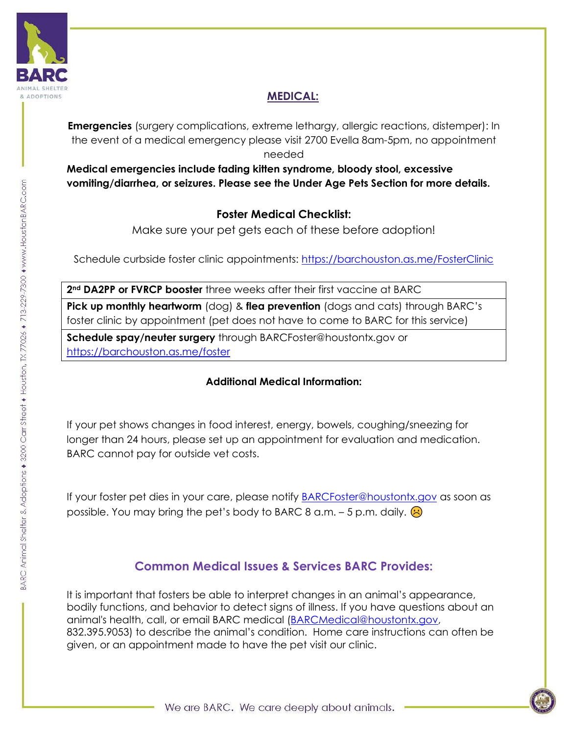

# **MEDICAL:**

**Emergencies** (surgery complications, extreme lethargy, allergic reactions, distemper): In the event of a medical emergency please visit 2700 Evella 8am-5pm, no appointment needed

**Medical emergencies include fading kitten syndrome, bloody stool, excessive vomiting/diarrhea, or seizures. Please see the Under Age Pets Section for more details.** 

# **Foster Medical Checklist:**

Make sure your pet gets each of these before adoption!

Schedule curbside foster clinic appointments: <https://barchouston.as.me/FosterClinic>

**2nd DA2PP or FVRCP booster** three weeks after their first vaccine at BARC

**Pick up monthly heartworm** (dog) & **flea prevention** (dogs and cats) through BARC's foster clinic by appointment (pet does not have to come to BARC for this service)

**Schedule spay/neuter surgery** through BARCFoster@houstontx.gov or <https://barchouston.as.me/foster>

## **Additional Medical Information:**

If your pet shows changes in food interest, energy, bowels, coughing/sneezing for longer than 24 hours, please set up an appointment for evaluation and medication. BARC cannot pay for outside vet costs.

If your foster pet dies in your care, please notify [BARCFoster@houstontx.gov](mailto:BARCFoster@houstontx.gov) as soon as possible. You may bring the pet's body to BARC 8 a.m.  $-5$  p.m. daily.  $\bigotimes$ 

# **Common Medical Issues & Services BARC Provides:**

It is important that fosters be able to interpret changes in an animal's appearance, bodily functions, and behavior to detect signs of illness. If you have questions about an animal's health, call, or email BARC medical [\(BARCMedical@houstontx.gov,](mailto:BARCMedical@houstontx.gov) 832.395.9053) to describe the animal's condition. Home care instructions can often be given, or an appointment made to have the pet visit our clinic.

BARC Animal Shelter & Adoptions + 3200 Carr Street + Houston, TX 77026 + 713-229-7300 + www.HoustonBARC.com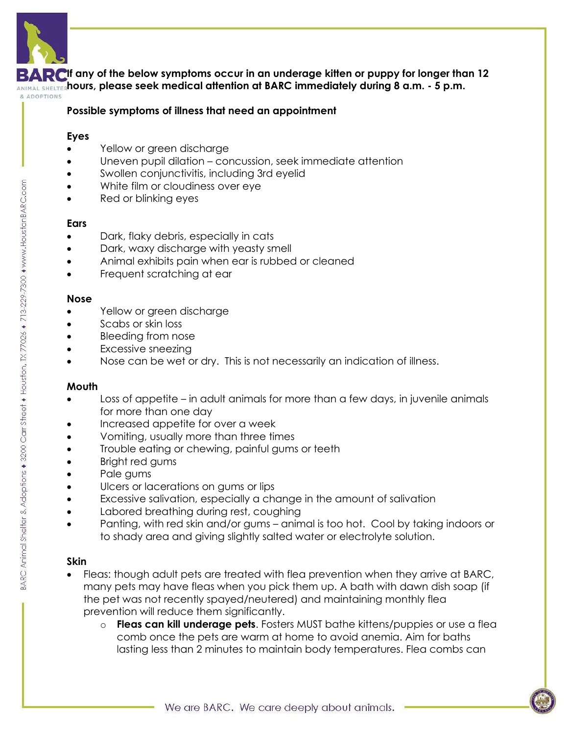

**If any of the below symptoms occur in an underage kitten or puppy for longer than 12 hours, please seek medical attention at BARC immediately during 8 a.m. - 5 p.m.**

& ADOPTIONS

#### **Possible symptoms of illness that need an appointment**

#### **Eyes**

- Yellow or green discharge
- Uneven pupil dilation concussion, seek immediate attention
- Swollen conjunctivitis, including 3rd eyelid
- White film or cloudiness over eye
- Red or blinking eyes

#### **Ears**

- Dark, flaky debris, especially in cats
- Dark, waxy discharge with yeasty smell
- Animal exhibits pain when ear is rubbed or cleaned
- Frequent scratching at ear

#### **Nose**

- Yellow or green discharge
- Scabs or skin loss
- Bleeding from nose
- Excessive sneezing
- Nose can be wet or dry. This is not necessarily an indication of illness.

#### **Mouth**

- Loss of appetite in adult animals for more than a few days, in juvenile animals for more than one day
- Increased appetite for over a week
- Vomiting, usually more than three times
- Trouble eating or chewing, painful gums or teeth
- Bright red gums
- Pale gums
- Ulcers or lacerations on gums or lips
- Excessive salivation, especially a change in the amount of salivation
- Labored breathing during rest, coughing
- Panting, with red skin and/or gums animal is too hot. Cool by taking indoors or to shady area and giving slightly salted water or electrolyte solution.

## **Skin**

- Fleas: though adult pets are treated with flea prevention when they arrive at BARC, many pets may have fleas when you pick them up. A bath with dawn dish soap (if the pet was not recently spayed/neutered) and maintaining monthly flea prevention will reduce them significantly.
	- o **Fleas can kill underage pets**. Fosters MUST bathe kittens/puppies or use a flea comb once the pets are warm at home to avoid anemia. Aim for baths lasting less than 2 minutes to maintain body temperatures. Flea combs can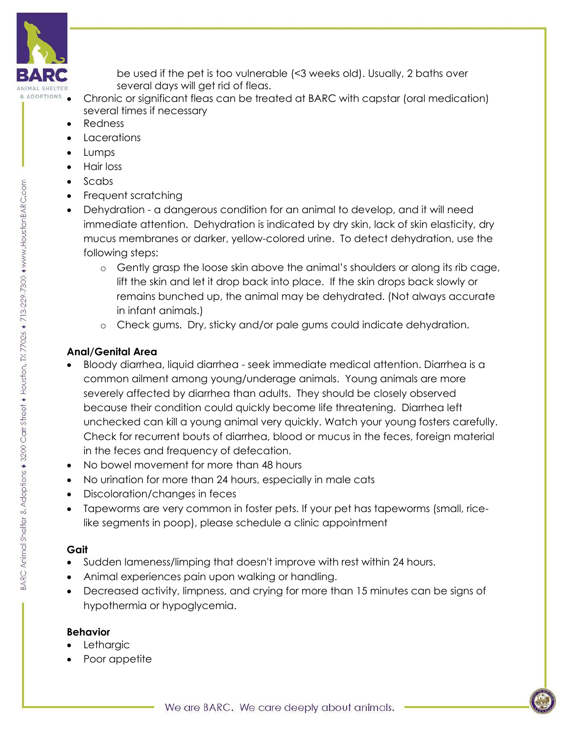

BARC Animal Shelter & Adoptions + 3200 Carr Street + Houston, TX 77026 + 713-229-7300 + www.HoustonBARC.com

be used if the pet is too vulnerable (<3 weeks old). Usually, 2 baths over several days will get rid of fleas.

- Chronic or significant fleas can be treated at BARC with capstar (oral medication) several times if necessary
	- Redness
	- **Lacerations**
	- Lumps
	- Hair loss
	- Scabs
	- Frequent scratching
	- Dehydration a dangerous condition for an animal to develop, and it will need immediate attention. Dehydration is indicated by dry skin, lack of skin elasticity, dry mucus membranes or darker, yellow-colored urine. To detect dehydration, use the following steps:
		- o Gently grasp the loose skin above the animal's shoulders or along its rib cage, lift the skin and let it drop back into place. If the skin drops back slowly or remains bunched up, the animal may be dehydrated. (Not always accurate in infant animals.)
		- o Check gums. Dry, sticky and/or pale gums could indicate dehydration.

# **Anal/Genital Area**

- Bloody diarrhea, liquid diarrhea seek immediate medical attention. Diarrhea is a common ailment among young/underage animals. Young animals are more severely affected by diarrhea than adults. They should be closely observed because their condition could quickly become life threatening. Diarrhea left unchecked can kill a young animal very quickly. Watch your young fosters carefully. Check for recurrent bouts of diarrhea, blood or mucus in the feces, foreign material in the feces and frequency of defecation.
- No bowel movement for more than 48 hours
- No urination for more than 24 hours, especially in male cats
- Discoloration/changes in feces
- Tapeworms are very common in foster pets. If your pet has tapeworms (small, ricelike segments in poop), please schedule a clinic appointment

# **Gait**

- Sudden lameness/limping that doesn't improve with rest within 24 hours.
- Animal experiences pain upon walking or handling.
- Decreased activity, limpness, and crying for more than 15 minutes can be signs of hypothermia or hypoglycemia.

## **Behavior**

- **Lethargic**
- Poor appetite